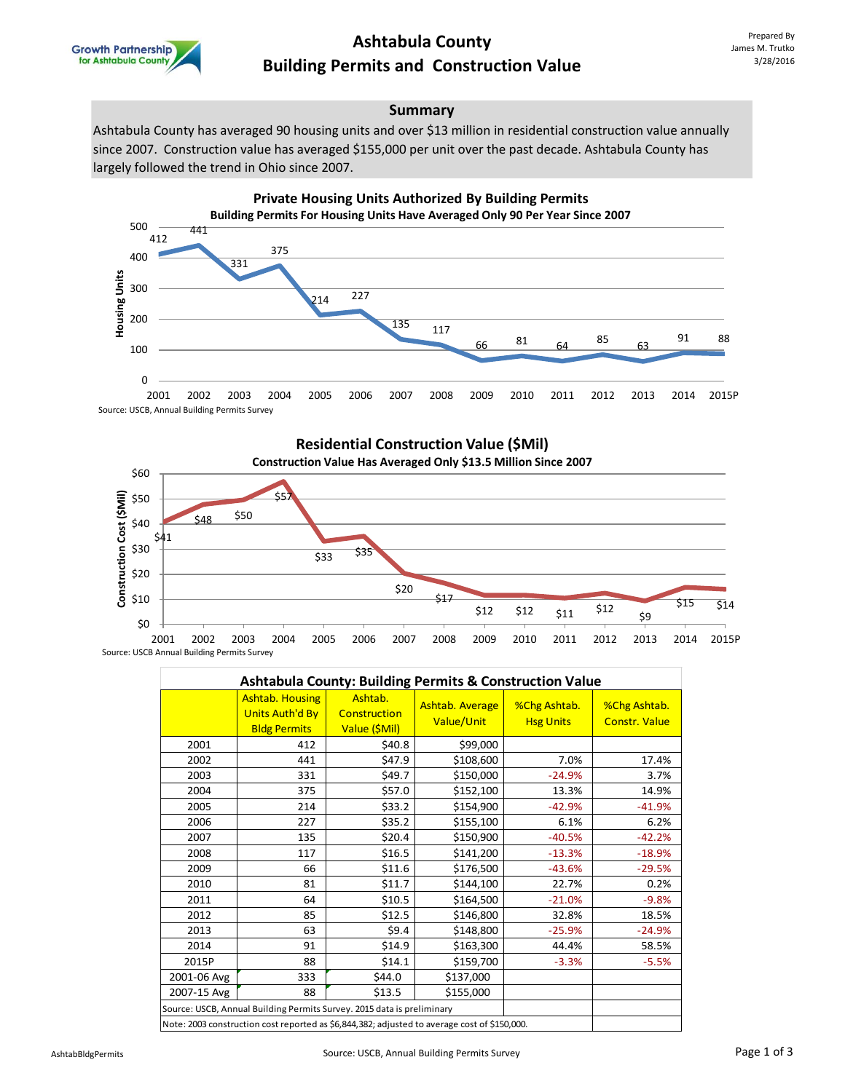

## **Ashtabula County Building Permits and Construction Value**

### **Summary**

Ashtabula County has averaged 90 housing units and over \$13 million in residential construction value annually since 2007. Construction value has averaged \$155,000 per unit over the past decade. Ashtabula County has largely followed the trend in Ohio since 2007.





Source: USCB Annual Building Permits Survey

| <b>Ashtabula County: Building Permits &amp; Construction Value</b>                           |                                                                         |                                          |                               |                                  |                                      |  |  |  |  |  |
|----------------------------------------------------------------------------------------------|-------------------------------------------------------------------------|------------------------------------------|-------------------------------|----------------------------------|--------------------------------------|--|--|--|--|--|
|                                                                                              | <b>Ashtab. Housing</b><br><b>Units Auth'd By</b><br><b>Bldg Permits</b> | Ashtab.<br>Construction<br>Value (\$Mil) | Ashtab. Average<br>Value/Unit | %Chg Ashtab.<br><b>Hsg Units</b> | %Chg Ashtab.<br><b>Constr. Value</b> |  |  |  |  |  |
| 2001                                                                                         | 412                                                                     | \$40.8                                   | \$99,000                      |                                  |                                      |  |  |  |  |  |
| 2002                                                                                         | 441                                                                     | \$47.9                                   | \$108,600                     | 7.0%                             | 17.4%                                |  |  |  |  |  |
| 2003                                                                                         | 331                                                                     | \$49.7                                   | \$150,000                     | $-24.9%$                         | 3.7%                                 |  |  |  |  |  |
| 2004                                                                                         | 375                                                                     | \$57.0                                   | \$152,100                     | 13.3%                            | 14.9%                                |  |  |  |  |  |
| 2005                                                                                         | 214                                                                     | \$33.2                                   | \$154,900                     | $-42.9%$                         | $-41.9%$                             |  |  |  |  |  |
| 2006                                                                                         | 227                                                                     | \$35.2                                   | \$155,100                     | 6.1%                             | 6.2%                                 |  |  |  |  |  |
| 2007                                                                                         | 135                                                                     | \$20.4                                   | \$150,900                     | $-40.5%$                         | $-42.2%$                             |  |  |  |  |  |
| 2008                                                                                         | 117                                                                     | \$16.5                                   | \$141,200                     | $-13.3%$                         | $-18.9%$                             |  |  |  |  |  |
| 2009                                                                                         | 66                                                                      | \$11.6                                   | \$176,500                     | $-43.6%$                         | $-29.5%$                             |  |  |  |  |  |
| 2010                                                                                         | 81                                                                      | \$11.7                                   | \$144,100                     | 22.7%                            | 0.2%                                 |  |  |  |  |  |
| 2011                                                                                         | 64                                                                      | \$10.5                                   | \$164,500                     | $-21.0%$                         | $-9.8%$                              |  |  |  |  |  |
| 2012                                                                                         | 85                                                                      | \$12.5                                   | \$146,800                     | 32.8%                            | 18.5%                                |  |  |  |  |  |
| 2013                                                                                         | 63                                                                      | \$9.4                                    | \$148,800                     | $-25.9%$                         | $-24.9%$                             |  |  |  |  |  |
| 2014                                                                                         | 91                                                                      | \$14.9                                   | \$163,300                     | 44.4%                            | 58.5%                                |  |  |  |  |  |
| 2015P                                                                                        | 88                                                                      | \$14.1                                   | \$159,700                     | $-3.3%$                          | $-5.5%$                              |  |  |  |  |  |
| 2001-06 Avg                                                                                  | 333                                                                     | \$44.0                                   | \$137,000                     |                                  |                                      |  |  |  |  |  |
| 2007-15 Avg                                                                                  | 88                                                                      | \$13.5                                   | \$155,000                     |                                  |                                      |  |  |  |  |  |
| Source: USCB, Annual Building Permits Survey. 2015 data is preliminary                       |                                                                         |                                          |                               |                                  |                                      |  |  |  |  |  |
| Note: 2003 construction cost reported as \$6,844,382; adjusted to average cost of \$150,000. |                                                                         |                                          |                               |                                  |                                      |  |  |  |  |  |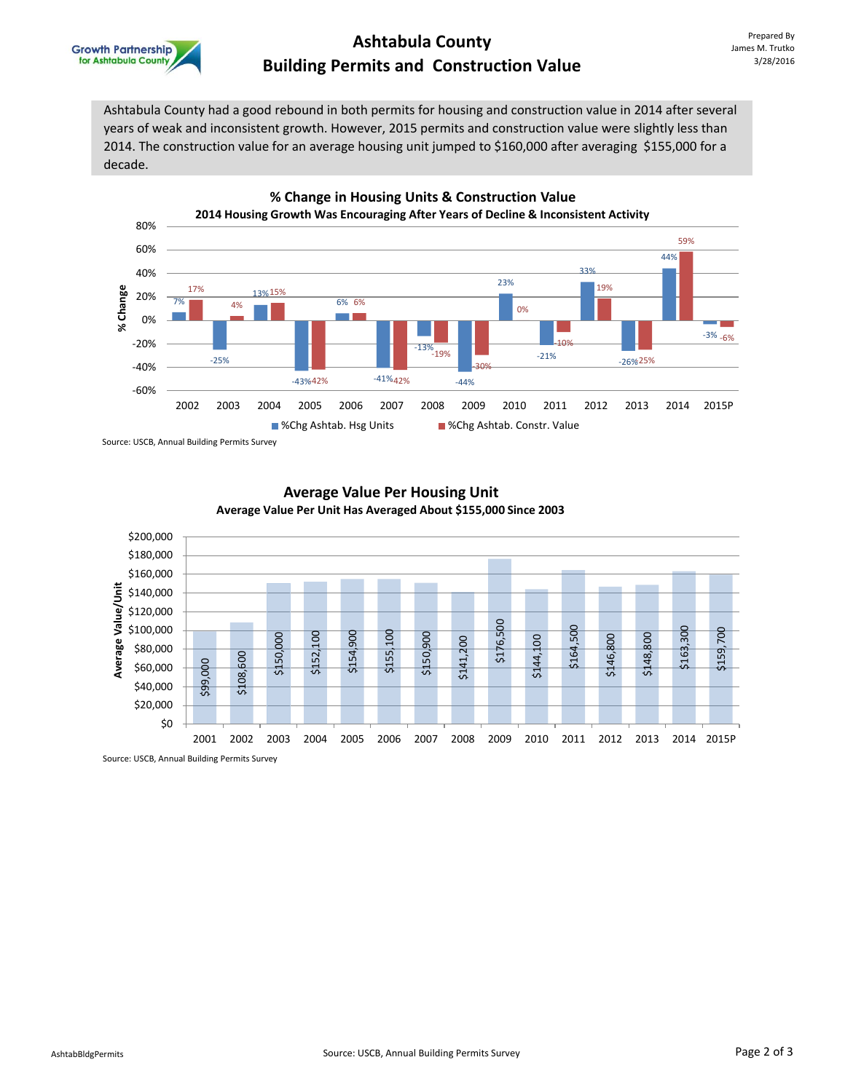

### **Ashtabula County Building Permits and Construction Value**

Ashtabula County had a good rebound in both permits for housing and construction value in 2014 after several years of weak and inconsistent growth. However, 2015 permits and construction value were slightly less than 2014. The construction value for an average housing unit jumped to \$160,000 after averaging \$155,000 for a decade.



Source: USCB, Annual Building Permits Survey



### **Average Value Per Housing Unit Average Value Per Unit Has Averaged About \$155,000 Since 2003**

Source: USCB, Annual Building Permits Survey